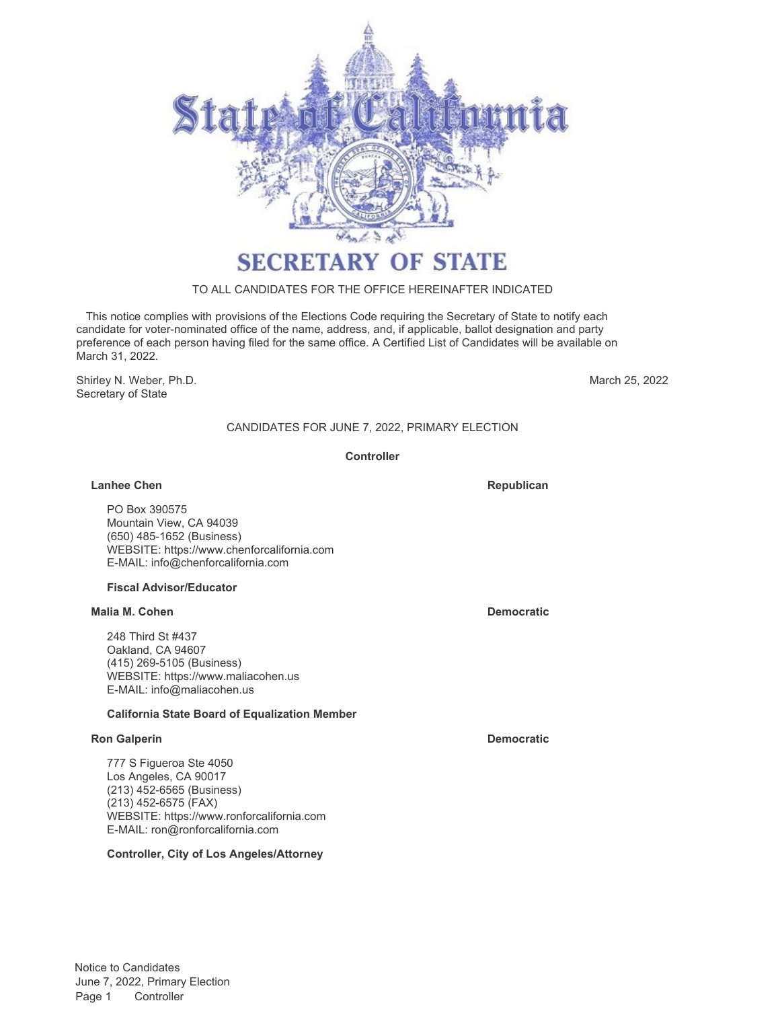

# **SECRETARY OF STATE**

## TO ALL CANDIDATES FOR THE OFFICE HEREINAFTER INDICATED

 This notice complies with provisions of the Elections Code requiring the Secretary of State to notify each candidate for voter-nominated office of the name, address, and, if applicable, ballot designation and party preference of each person having filed for the same office. A Certified List of Candidates will be available on March 31, 2022.

Shirley N. Weber, Ph.D. Secretary of State

March 25, 2022

# CANDIDATES FOR JUNE 7, 2022, PRIMARY ELECTION

#### **Controller**

#### **Lanhee Chen Republican Republican Republican Republican**

PO Box 390575 Mountain View, CA 94039 (650) 485-1652 (Business) WEBSITE: https://www.chenforcalifornia.com E-MAIL: info@chenforcalifornia.com

#### **Fiscal Advisor/Educator**

#### **Malia M. Cohen Democratic**

248 Third St #437 Oakland, CA 94607 (415) 269-5105 (Business) WEBSITE: https://www.maliacohen.us E-MAIL: info@maliacohen.us

#### **California State Board of Equalization Member**

### **Ron Galperin Democratic**

777 S Figueroa Ste 4050 Los Angeles, CA 90017 (213) 452-6565 (Business) (213) 452-6575 (FAX) WEBSITE: https://www.ronforcalifornia.com E-MAIL: ron@ronforcalifornia.com

#### **Controller, City of Los Angeles/Attorney**

Notice to Candidates June 7, 2022, Primary Election Page 1 Controller